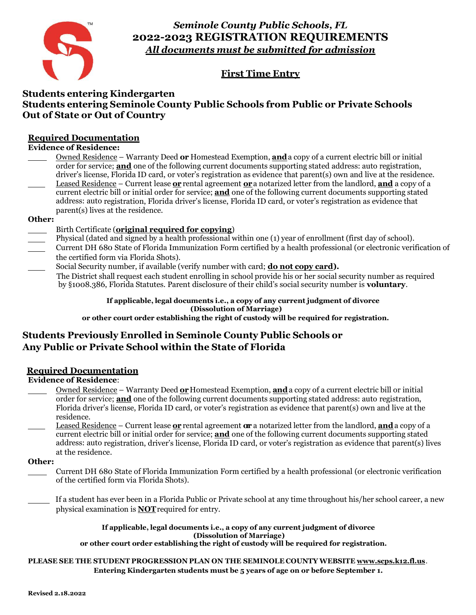

*Seminole County Public Schools, FL*  **2022-2023 REGISTRATION REQUIREMENTS** *All documents must be submitted for admission*

# **First Time Entry**

## **Students entering Kindergarten Students entering Seminole County Public Schools from Public or Private Schools Out of State or Out of Country**

### **Required Documentation**

### **Evidence of Residence:**

Owned Residence – Warranty Deed **or** Homestead Exemption, **and** a copy of a current electric bill or initial order for service; **and** one of the following current documents supporting stated address: auto registration, driver's license, Florida ID card, or voter's registration as evidence that parent(s) own and live at the residence. Leased Residence – Current lease **or** rental agreement **or** a notarized letter from the landlord, **and** a copy of a current electric bill or initial order for service; **and** one of the following current documents supporting stated address: auto registration, Florida driver's license, Florida ID card, or voter's registration as evidence that parent(s) lives at the residence.

### **Other:**

- Birth Certificate (**original required for copying**)
- Physical (dated and signed by a health professional within one (1) year of enrollment (first day of school).
- Current DH 680 State of Florida Immunization Form certified by a health professional (or electronic verification of the certified form via Florida Shots).
- Social Security number, if available (verify number with card; **do not copy card).** The District shall request each student enrolling in school provide his or her social security number as required by §1008.386, Florida Statutes. Parent disclosure of their child's social security number is **voluntary**.

### **If applicable, legal documents i.e., a copy of any current judgment of divorce (Dissolution of Marriage)**

**or other court order establishing the right of custody will be required for registration.**

# **Students Previously Enrolled in Seminole County Public Schools or Any Public or Private School within the State of Florida**

### **Required Documentation**

**Evidence of Residence**:

- Owned Residence Warranty Deed **or** Homestead Exemption, **and** a copy of a current electric bill or initial order for service; **and** one of the following current documents supporting stated address: auto registration, Florida driver's license, Florida ID card, or voter's registration as evidence that parent(s) own and live at the residence.
- Leased Residence Current lease **or** rental agreement **or r** a notarized letter from the landlord, **and** a copy of a current electric bill or initial order for service; **and** one of the following current documents supporting stated address: auto registration, driver's license, Florida ID card, or voter's registration as evidence that parent(s) lives at the residence.

### **Other:**

- Current DH 680 State of Florida Immunization Form certified by a health professional (or electronic verification of the certified form via Florida Shots).
- If a student has ever been in a Florida Public or Private school at any time throughout his/her school career, a new physical examination is **NOT** required for entry.

**If applicable, legal documents i.e., a copy of any current judgment of divorce (Dissolution of Marriage) or other court order establishing the right of custody will be required for registration.**

### **PLEASE SEE THE STUDENT PROGRESSION PLAN ON THE SEMINOLE COUNTY WEBSITE [www.scps.k12.fl.us](http://www.scps.k12.fl.us/)**. **Entering Kindergarten students must be 5 years of age on or before September 1.**